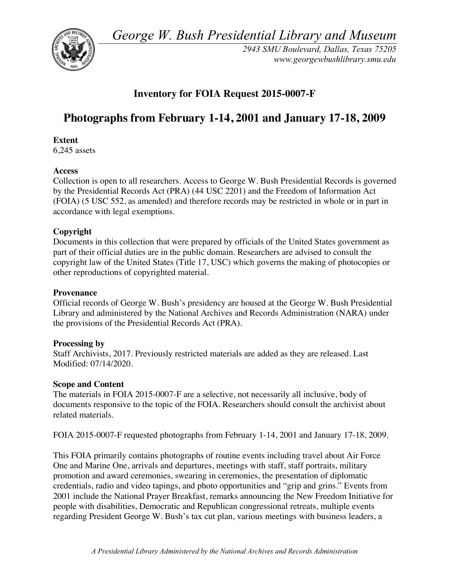*George W. Bush Presidential Library and Museum* 



*2943 SMU Boulevard, Dallas, Texas 75205 <www.georgewbushlibrary.smu.edu>* 

## **Inventory for FOIA Request 2015-0007-F**

# **Photographs from February 1-14, 2001 and January 17-18, 2009**

#### **Extent**

6,245 assets

#### **Access**

 Collection is open to all researchers. Access to George W. Bush Presidential Records is governed by the Presidential Records Act (PRA) (44 USC 2201) and the Freedom of Information Act (FOIA) (5 USC 552, as amended) and therefore records may be restricted in whole or in part in accordance with legal exemptions.

### **Copyright**

 Documents in this collection that were prepared by officials of the United States government as part of their official duties are in the public domain. Researchers are advised to consult the copyright law of the United States (Title 17, USC) which governs the making of photocopies or other reproductions of copyrighted material.

#### **Provenance**

 Official records of George W. Bush's presidency are housed at the George W. Bush Presidential Library and administered by the National Archives and Records Administration (NARA) under the provisions of the Presidential Records Act (PRA).

#### **Processing by**

 Staff Archivists, 2017. Previously restricted materials are added as they are released. Last Modified: 07/14/2020.

#### **Scope and Content**

 The materials in FOIA 2015-0007-F are a selective, not necessarily all inclusive, body of documents responsive to the topic of the FOIA. Researchers should consult the archivist about related materials.

related materials.<br>FOIA 2015-0007-F requested photographs from February 1-14, 2001 and January 17-18, 2009.

 This FOIA primarily contains photographs of routine events including travel about Air Force One and Marine One, arrivals and departures, meetings with staff, staff portraits, military promotion and award ceremonies, swearing in ceremonies, the presentation of diplomatic credentials, radio and video tapings, and photo opportunities and "grip and grins." Events from 2001 include the National Prayer Breakfast, remarks announcing the New Freedom Initiative for people with disabilities, Democratic and Republican congressional retreats, multiple events regarding President George W. Bush's tax cut plan, various meetings with business leaders, a